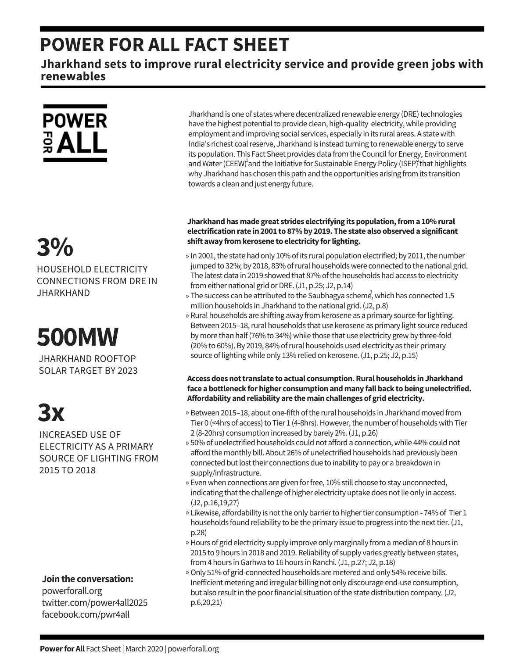## **POWER FOR ALL FACT SHEET**

**Jharkhand sets to improve rural electricity service and provide green jobs with renewables**

## **POWER** ទី $ALL$

## **3%**

HOUSEHOLD ELECTRICITY CONNECTIONS FROM DRE IN **JHARKHAND** 

**500MW**

JHARKHAND ROOFTOP SOLAR TARGET BY 2023

# **3x**

INCREASED USE OF ELECTRICITY AS A PRIMARY SOURCE OF LIGHTING FROM 2015 TO 2018

### **Jointhe conversation:**

powerforall.org twitter.com/power4all2025 facebook.com/pwr4all

Jharkhand is one of states where decentralized renewable energy (DRE) technologies have the highest potential to provide clean, high-quality electricity, while providing employment and improving social services, especially in its rural areas. A statewith India's richest coal reserve, Jharkhand is instead turning to renewable energy to serve its population. This Fact Sheet provides data from the Council for Energy, Environment and Water (CEEW)<sup>1</sup> and the Initiative for Sustainable Energy Policy (ISEP)<sup>2</sup> that highlights why Jharkhand has chosen this path and the opportunities arising from its transition towards a clean and just energy future.

### **Jharkhandhasmade great strides electrifying itspopulation,froma 10%rural electrificationrate in2001 to 87%by 2019. The state also observeda significant shift away fromkerosene to electricity forlighting.**

- » In 2001, the state had only 10% of its rural population electrified; by 2011, the number jumped to 32%; by 2018, 83% of rural households were connected to the national grid. The latest data in 2019 showed that 87% of the households had access to electricity from either national grid or DRE. (J1, p.25; J2, p.14)
- » The success can be attributed to the Saubhagya scheme, which has connected 1.5 million households in Jharkhand to the national grid. (J2, p.8)
- » Rural households are shifting away from kerosene as a primary source for lighting. Between 2015–18, rural households that use kerosene as primary light source reduced by more than half (76% to 34%) while those that use electricity grew by three-fold (20% to 60%).By 2019, 84% ofrural households used electricity as their primary source of lighting while only 13% relied on kerosene. (J1, p.25; J2, p.15)

### **Accessdoesnottranslate to actual consumption.Ruralhouseholds inJharkhand face abottleneck forhigher consumptionandmany fallback tobeingunelectrified.** Affordability and reliability are the main challenges of grid electricity.

- » Between 2015-18, about one-fifth of the rural households in Jharkhand moved from Tier 0 (<4hrs of access) to Tier 1 (4-8hrs). However, the number of households with Tier 2 (8-20hrs) consumption increased by barely 2%.(J1, p.26)
- » 50% of unelectrified households could not afford a connection, while 44% could not afford the monthly bill. About 26% of unelectrified households had previously been connected but lost their connections due to inability to pay or a breakdown in supply/infrastructure.
- » Even when connections are given for free, 10% still choose to stay unconnected, indicating that the challenge of higher electricity uptake does not lie only in access. (J2, p.16,19,27)
- » Likewise, affordability is not the only barrier to higher tier consumption 74% of Tier 1 households found reliability to be the primary issue to progress into the next tier. (J1, p.28)
- » Hours of grid electricity supply improve only marginally from a median of 8 hours in 2015 to 9 hours in 2018 and 2019. Reliability of supply varies greatly between states, from 4 hours in Garhwa to 16 hours in Ranchi. (J1, p.27; J2, p.18)
- Only 51% of grid-connected households are metered and only 54% receive bills. » Inefficient metering and irregular billing not only discourage end-use consumption, but also result in the poor financial situation of the state distribution company. (J2, p.6,20,21)